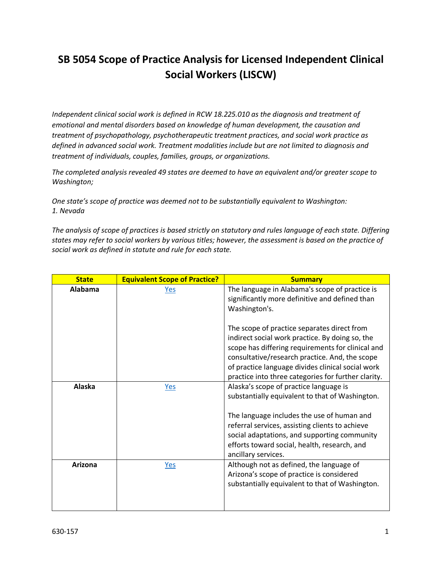## **SB 5054 Scope of Practice Analysis for Licensed Independent Clinical Social Workers (LISCW)**

*Independent clinical social work is defined in RCW 18.225.010 as the diagnosis and treatment of emotional and mental disorders based on knowledge of human development, the causation and treatment of psychopathology, psychotherapeutic treatment practices, and social work practice as defined in advanced social work. Treatment modalities include but are not limited to diagnosis and treatment of individuals, couples, families, groups, or organizations.*

*The completed analysis revealed 49 states are deemed to have an equivalent and/or greater scope to Washington;*

*One state's scope of practice was deemed not to be substantially equivalent to Washington: 1. Nevada*

*The analysis of scope of practices is based strictly on statutory and rules language of each state. Differing states may refer to social workers by various titles; however, the assessment is based on the practice of social work as defined in statute and rule for each state.*

| <b>State</b> | <b>Equivalent Scope of Practice?</b> | <b>Summary</b>                                                                                                                                                                                                                                                                                                    |
|--------------|--------------------------------------|-------------------------------------------------------------------------------------------------------------------------------------------------------------------------------------------------------------------------------------------------------------------------------------------------------------------|
| Alabama      | <u>Yes</u>                           | The language in Alabama's scope of practice is<br>significantly more definitive and defined than<br>Washington's.                                                                                                                                                                                                 |
|              |                                      | The scope of practice separates direct from<br>indirect social work practice. By doing so, the<br>scope has differing requirements for clinical and<br>consultative/research practice. And, the scope<br>of practice language divides clinical social work<br>practice into three categories for further clarity. |
| Alaska       | Yes                                  | Alaska's scope of practice language is<br>substantially equivalent to that of Washington.<br>The language includes the use of human and                                                                                                                                                                           |
|              |                                      | referral services, assisting clients to achieve<br>social adaptations, and supporting community<br>efforts toward social, health, research, and<br>ancillary services.                                                                                                                                            |
| Arizona      | $Yes$                                | Although not as defined, the language of<br>Arizona's scope of practice is considered<br>substantially equivalent to that of Washington.                                                                                                                                                                          |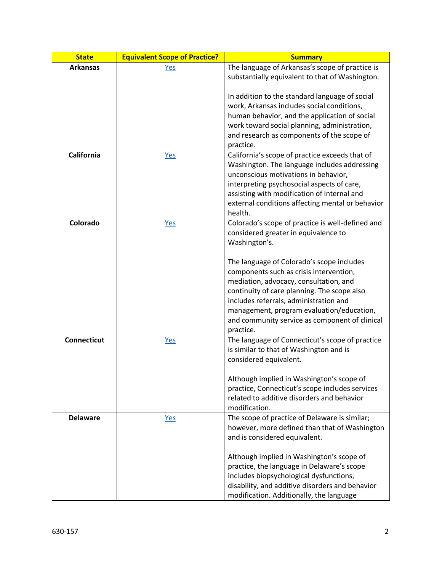| <b>State</b>       | <b>Equivalent Scope of Practice?</b> | <b>Summary</b>                                                                                                                                                                                                                                                                                                                      |
|--------------------|--------------------------------------|-------------------------------------------------------------------------------------------------------------------------------------------------------------------------------------------------------------------------------------------------------------------------------------------------------------------------------------|
| <b>Arkansas</b>    | <b>Yes</b>                           | The language of Arkansas's scope of practice is                                                                                                                                                                                                                                                                                     |
|                    |                                      | substantially equivalent to that of Washington.                                                                                                                                                                                                                                                                                     |
|                    |                                      | In addition to the standard language of social<br>work, Arkansas includes social conditions,<br>human behavior, and the application of social<br>work toward social planning, administration,<br>and research as components of the scope of<br>practice.                                                                            |
| <b>California</b>  | Yes                                  | California's scope of practice exceeds that of                                                                                                                                                                                                                                                                                      |
|                    |                                      | Washington. The language includes addressing<br>unconscious motivations in behavior,<br>interpreting psychosocial aspects of care,<br>assisting with modification of internal and<br>external conditions affecting mental or behavior<br>health.                                                                                    |
| Colorado           | Yes                                  | Colorado's scope of practice is well-defined and<br>considered greater in equivalence to<br>Washington's.                                                                                                                                                                                                                           |
|                    |                                      | The language of Colorado's scope includes<br>components such as crisis intervention,<br>mediation, advocacy, consultation, and<br>continuity of care planning. The scope also<br>includes referrals, administration and<br>management, program evaluation/education,<br>and community service as component of clinical<br>practice. |
| <b>Connecticut</b> | <u>Yes</u>                           | The language of Connecticut's scope of practice<br>is similar to that of Washington and is<br>considered equivalent.                                                                                                                                                                                                                |
|                    |                                      | Although implied in Washington's scope of<br>practice, Connecticut's scope includes services<br>related to additive disorders and behavior<br>modification.                                                                                                                                                                         |
| <b>Delaware</b>    | <u>Yes</u>                           | The scope of practice of Delaware is similar;<br>however, more defined than that of Washington<br>and is considered equivalent.                                                                                                                                                                                                     |
|                    |                                      | Although implied in Washington's scope of<br>practice, the language in Delaware's scope<br>includes biopsychological dysfunctions,<br>disability, and additive disorders and behavior<br>modification. Additionally, the language                                                                                                   |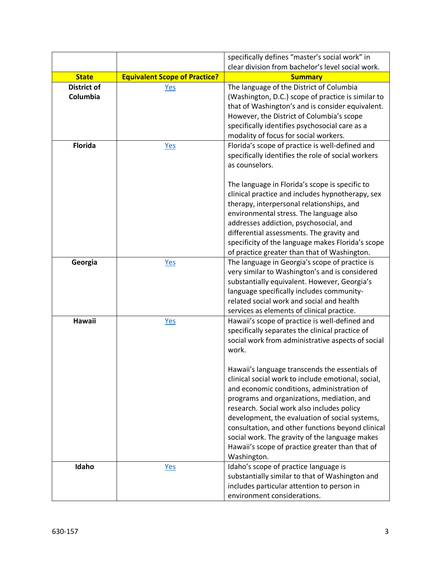|                                |                                      | specifically defines "master's social work" in                                                                                                                                                                                                                                                                                                                                                                                                                            |
|--------------------------------|--------------------------------------|---------------------------------------------------------------------------------------------------------------------------------------------------------------------------------------------------------------------------------------------------------------------------------------------------------------------------------------------------------------------------------------------------------------------------------------------------------------------------|
|                                |                                      | clear division from bachelor's level social work.                                                                                                                                                                                                                                                                                                                                                                                                                         |
| <b>State</b>                   | <b>Equivalent Scope of Practice?</b> | <b>Summary</b>                                                                                                                                                                                                                                                                                                                                                                                                                                                            |
| <b>District of</b><br>Columbia | <u>Yes</u>                           | The language of the District of Columbia<br>(Washington, D.C.) scope of practice is similar to<br>that of Washington's and is consider equivalent.<br>However, the District of Columbia's scope<br>specifically identifies psychosocial care as a<br>modality of focus for social workers.                                                                                                                                                                                |
| <b>Florida</b>                 | Yes                                  | Florida's scope of practice is well-defined and<br>specifically identifies the role of social workers<br>as counselors.<br>The language in Florida's scope is specific to                                                                                                                                                                                                                                                                                                 |
|                                |                                      | clinical practice and includes hypnotherapy, sex<br>therapy, interpersonal relationships, and<br>environmental stress. The language also<br>addresses addiction, psychosocial, and<br>differential assessments. The gravity and<br>specificity of the language makes Florida's scope<br>of practice greater than that of Washington.                                                                                                                                      |
| Georgia                        | <u>Yes</u>                           | The language in Georgia's scope of practice is<br>very similar to Washington's and is considered<br>substantially equivalent. However, Georgia's<br>language specifically includes community-<br>related social work and social and health<br>services as elements of clinical practice.                                                                                                                                                                                  |
| <b>Hawaii</b>                  | Yes                                  | Hawaii's scope of practice is well-defined and<br>specifically separates the clinical practice of<br>social work from administrative aspects of social<br>work.                                                                                                                                                                                                                                                                                                           |
|                                |                                      | Hawaii's language transcends the essentials of<br>clinical social work to include emotional, social,<br>and economic conditions, administration of<br>programs and organizations, mediation, and<br>research. Social work also includes policy<br>development, the evaluation of social systems,<br>consultation, and other functions beyond clinical<br>social work. The gravity of the language makes<br>Hawaii's scope of practice greater than that of<br>Washington. |
| Idaho                          | <u>Yes</u>                           | Idaho's scope of practice language is<br>substantially similar to that of Washington and<br>includes particular attention to person in<br>environment considerations.                                                                                                                                                                                                                                                                                                     |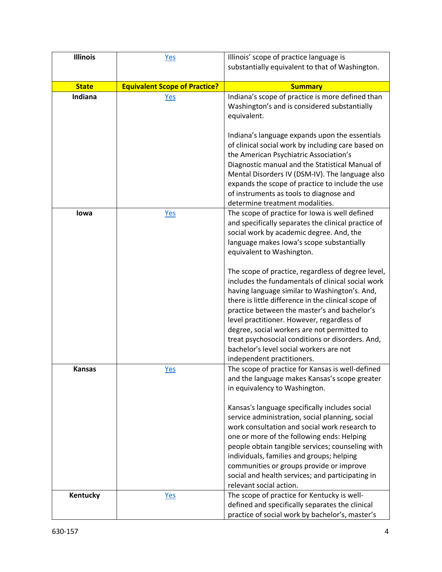| <b>Illinois</b> | Yes                                  | Illinois' scope of practice language is                                                                                                                                                                                                                                                                                                                                                                                                                                                                                                                                                                                                                                                                                  |
|-----------------|--------------------------------------|--------------------------------------------------------------------------------------------------------------------------------------------------------------------------------------------------------------------------------------------------------------------------------------------------------------------------------------------------------------------------------------------------------------------------------------------------------------------------------------------------------------------------------------------------------------------------------------------------------------------------------------------------------------------------------------------------------------------------|
|                 |                                      | substantially equivalent to that of Washington.                                                                                                                                                                                                                                                                                                                                                                                                                                                                                                                                                                                                                                                                          |
| <b>State</b>    | <b>Equivalent Scope of Practice?</b> | <b>Summary</b>                                                                                                                                                                                                                                                                                                                                                                                                                                                                                                                                                                                                                                                                                                           |
| Indiana         | <u>Yes</u>                           | Indiana's scope of practice is more defined than<br>Washington's and is considered substantially<br>equivalent.<br>Indiana's language expands upon the essentials<br>of clinical social work by including care based on<br>the American Psychiatric Association's<br>Diagnostic manual and the Statistical Manual of<br>Mental Disorders IV (DSM-IV). The language also<br>expands the scope of practice to include the use<br>of instruments as tools to diagnose and<br>determine treatment modalities.                                                                                                                                                                                                                |
| lowa            | <b>Yes</b>                           | The scope of practice for Iowa is well defined<br>and specifically separates the clinical practice of<br>social work by academic degree. And, the<br>language makes Iowa's scope substantially<br>equivalent to Washington.<br>The scope of practice, regardless of degree level,<br>includes the fundamentals of clinical social work<br>having language similar to Washington's. And,<br>there is little difference in the clinical scope of<br>practice between the master's and bachelor's<br>level practitioner. However, regardless of<br>degree, social workers are not permitted to<br>treat psychosocial conditions or disorders. And,<br>bachelor's level social workers are not<br>independent practitioners. |
| <b>Kansas</b>   | <u>Yes</u>                           | The scope of practice for Kansas is well-defined<br>and the language makes Kansas's scope greater<br>in equivalency to Washington.<br>Kansas's language specifically includes social<br>service administration, social planning, social<br>work consultation and social work research to<br>one or more of the following ends: Helping<br>people obtain tangible services; counseling with<br>individuals, families and groups; helping<br>communities or groups provide or improve<br>social and health services; and participating in<br>relevant social action.                                                                                                                                                       |
| Kentucky        | Yes                                  | The scope of practice for Kentucky is well-<br>defined and specifically separates the clinical<br>practice of social work by bachelor's, master's                                                                                                                                                                                                                                                                                                                                                                                                                                                                                                                                                                        |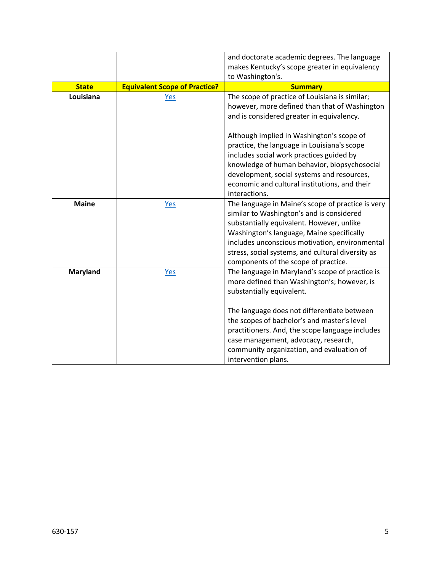|                 |                                      | and doctorate academic degrees. The language<br>makes Kentucky's scope greater in equivalency<br>to Washington's.                                                                                                                                                                                                                                                                        |
|-----------------|--------------------------------------|------------------------------------------------------------------------------------------------------------------------------------------------------------------------------------------------------------------------------------------------------------------------------------------------------------------------------------------------------------------------------------------|
| <b>State</b>    | <b>Equivalent Scope of Practice?</b> | <b>Summary</b>                                                                                                                                                                                                                                                                                                                                                                           |
| Louisiana       | <u>Yes</u>                           | The scope of practice of Louisiana is similar;<br>however, more defined than that of Washington<br>and is considered greater in equivalency.                                                                                                                                                                                                                                             |
|                 |                                      | Although implied in Washington's scope of<br>practice, the language in Louisiana's scope<br>includes social work practices guided by<br>knowledge of human behavior, biopsychosocial<br>development, social systems and resources,<br>economic and cultural institutions, and their<br>interactions.                                                                                     |
| <b>Maine</b>    | <b>Yes</b>                           | The language in Maine's scope of practice is very<br>similar to Washington's and is considered<br>substantially equivalent. However, unlike<br>Washington's language, Maine specifically<br>includes unconscious motivation, environmental<br>stress, social systems, and cultural diversity as<br>components of the scope of practice.                                                  |
| <b>Maryland</b> | <b>Yes</b>                           | The language in Maryland's scope of practice is<br>more defined than Washington's; however, is<br>substantially equivalent.<br>The language does not differentiate between<br>the scopes of bachelor's and master's level<br>practitioners. And, the scope language includes<br>case management, advocacy, research,<br>community organization, and evaluation of<br>intervention plans. |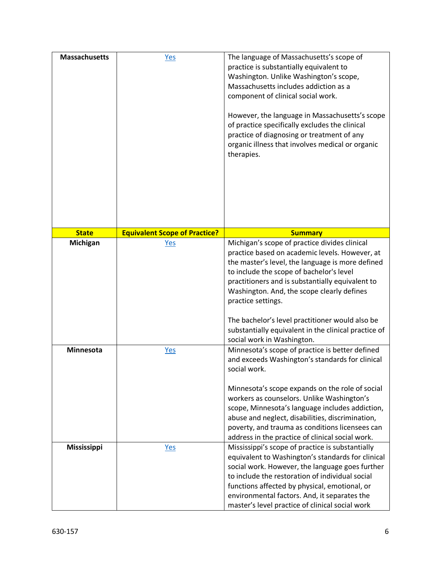| <b>Massachusetts</b> | <b>Yes</b>                           | The language of Massachusetts's scope of<br>practice is substantially equivalent to<br>Washington. Unlike Washington's scope,<br>Massachusetts includes addiction as a<br>component of clinical social work.<br>However, the language in Massachusetts's scope<br>of practice specifically excludes the clinical<br>practice of diagnosing or treatment of any<br>organic illness that involves medical or organic<br>therapies.                                |
|----------------------|--------------------------------------|-----------------------------------------------------------------------------------------------------------------------------------------------------------------------------------------------------------------------------------------------------------------------------------------------------------------------------------------------------------------------------------------------------------------------------------------------------------------|
| <b>State</b>         | <b>Equivalent Scope of Practice?</b> | <b>Summary</b>                                                                                                                                                                                                                                                                                                                                                                                                                                                  |
| <b>Michigan</b>      | <u>Yes</u>                           | Michigan's scope of practice divides clinical<br>practice based on academic levels. However, at<br>the master's level, the language is more defined<br>to include the scope of bachelor's level<br>practitioners and is substantially equivalent to<br>Washington. And, the scope clearly defines<br>practice settings.<br>The bachelor's level practitioner would also be<br>substantially equivalent in the clinical practice of                              |
| <b>Minnesota</b>     | <u>Yes</u>                           | social work in Washington.<br>Minnesota's scope of practice is better defined<br>and exceeds Washington's standards for clinical<br>social work.<br>Minnesota's scope expands on the role of social<br>workers as counselors. Unlike Washington's<br>scope, Minnesota's language includes addiction,<br>abuse and neglect, disabilities, discrimination,<br>poverty, and trauma as conditions licensees can<br>address in the practice of clinical social work. |
| <b>Mississippi</b>   | <b>Yes</b>                           | Mississippi's scope of practice is substantially<br>equivalent to Washington's standards for clinical<br>social work. However, the language goes further<br>to include the restoration of individual social<br>functions affected by physical, emotional, or<br>environmental factors. And, it separates the<br>master's level practice of clinical social work                                                                                                 |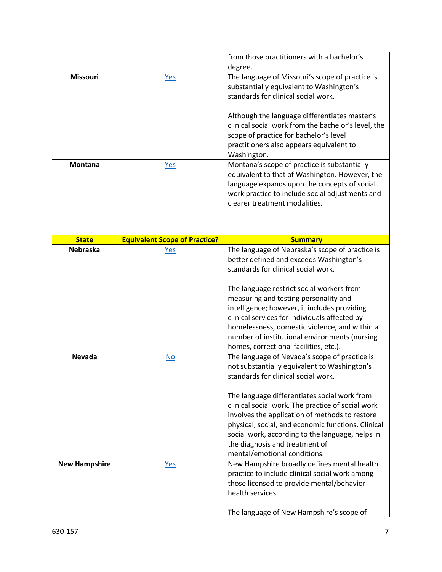|                      |                                      | from those practitioners with a bachelor's<br>degree.                                                                                                                                                                                                                                                                                                                                                                                                                   |
|----------------------|--------------------------------------|-------------------------------------------------------------------------------------------------------------------------------------------------------------------------------------------------------------------------------------------------------------------------------------------------------------------------------------------------------------------------------------------------------------------------------------------------------------------------|
| <b>Missouri</b>      | <b>Yes</b>                           | The language of Missouri's scope of practice is<br>substantially equivalent to Washington's<br>standards for clinical social work.<br>Although the language differentiates master's<br>clinical social work from the bachelor's level, the<br>scope of practice for bachelor's level<br>practitioners also appears equivalent to<br>Washington.                                                                                                                         |
| <b>Montana</b>       | Yes                                  | Montana's scope of practice is substantially<br>equivalent to that of Washington. However, the<br>language expands upon the concepts of social<br>work practice to include social adjustments and<br>clearer treatment modalities.                                                                                                                                                                                                                                      |
| <b>State</b>         | <b>Equivalent Scope of Practice?</b> | <b>Summary</b>                                                                                                                                                                                                                                                                                                                                                                                                                                                          |
| <b>Nebraska</b>      | <u>Yes</u>                           | The language of Nebraska's scope of practice is<br>better defined and exceeds Washington's<br>standards for clinical social work.<br>The language restrict social workers from<br>measuring and testing personality and<br>intelligence; however, it includes providing<br>clinical services for individuals affected by<br>homelessness, domestic violence, and within a<br>number of institutional environments (nursing<br>homes, correctional facilities, etc.).    |
| <b>Nevada</b>        | $\underline{\mathsf{No}}$            | The language of Nevada's scope of practice is<br>not substantially equivalent to Washington's<br>standards for clinical social work.<br>The language differentiates social work from<br>clinical social work. The practice of social work<br>involves the application of methods to restore<br>physical, social, and economic functions. Clinical<br>social work, according to the language, helps in<br>the diagnosis and treatment of<br>mental/emotional conditions. |
| <b>New Hampshire</b> | <u>Yes</u>                           | New Hampshire broadly defines mental health<br>practice to include clinical social work among<br>those licensed to provide mental/behavior<br>health services.<br>The language of New Hampshire's scope of                                                                                                                                                                                                                                                              |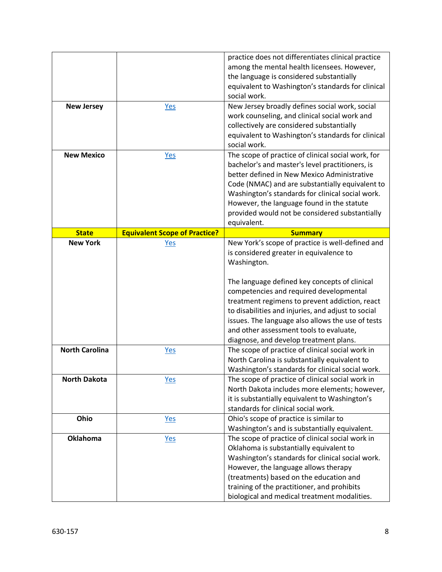|                                          |                                      | practice does not differentiates clinical practice<br>among the mental health licensees. However,<br>the language is considered substantially<br>equivalent to Washington's standards for clinical                                                                                                                                                                                                                                                       |
|------------------------------------------|--------------------------------------|----------------------------------------------------------------------------------------------------------------------------------------------------------------------------------------------------------------------------------------------------------------------------------------------------------------------------------------------------------------------------------------------------------------------------------------------------------|
|                                          |                                      | social work.                                                                                                                                                                                                                                                                                                                                                                                                                                             |
| <b>New Jersey</b>                        | <u>Yes</u>                           | New Jersey broadly defines social work, social<br>work counseling, and clinical social work and<br>collectively are considered substantially<br>equivalent to Washington's standards for clinical<br>social work.                                                                                                                                                                                                                                        |
| <b>New Mexico</b>                        | <b>Yes</b>                           | The scope of practice of clinical social work, for<br>bachelor's and master's level practitioners, is<br>better defined in New Mexico Administrative<br>Code (NMAC) and are substantially equivalent to<br>Washington's standards for clinical social work.<br>However, the language found in the statute<br>provided would not be considered substantially<br>equivalent.                                                                               |
| <b>State</b>                             | <b>Equivalent Scope of Practice?</b> | <b>Summary</b>                                                                                                                                                                                                                                                                                                                                                                                                                                           |
| <b>New York</b><br><b>North Carolina</b> | <u>Yes</u>                           | New York's scope of practice is well-defined and<br>is considered greater in equivalence to<br>Washington.<br>The language defined key concepts of clinical<br>competencies and required developmental<br>treatment regimens to prevent addiction, react<br>to disabilities and injuries, and adjust to social<br>issues. The language also allows the use of tests<br>and other assessment tools to evaluate,<br>diagnose, and develop treatment plans. |
|                                          | <u>Yes</u>                           | The scope of practice of clinical social work in<br>North Carolina is substantially equivalent to<br>Washington's standards for clinical social work.                                                                                                                                                                                                                                                                                                    |
| <b>North Dakota</b>                      | Yes                                  | The scope of practice of clinical social work in<br>North Dakota includes more elements; however,<br>it is substantially equivalent to Washington's<br>standards for clinical social work.                                                                                                                                                                                                                                                               |
| Ohio                                     | <u>Yes</u>                           | Ohio's scope of practice is similar to<br>Washington's and is substantially equivalent.                                                                                                                                                                                                                                                                                                                                                                  |
| <b>Oklahoma</b>                          | <u>Yes</u>                           | The scope of practice of clinical social work in<br>Oklahoma is substantially equivalent to<br>Washington's standards for clinical social work.<br>However, the language allows therapy<br>(treatments) based on the education and<br>training of the practitioner, and prohibits<br>biological and medical treatment modalities.                                                                                                                        |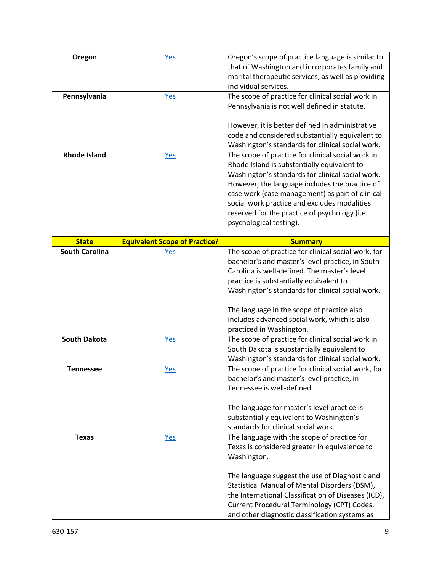| Oregon                | <b>Yes</b>                           | Oregon's scope of practice language is similar to   |
|-----------------------|--------------------------------------|-----------------------------------------------------|
|                       |                                      | that of Washington and incorporates family and      |
|                       |                                      | marital therapeutic services, as well as providing  |
|                       |                                      | individual services.                                |
|                       |                                      |                                                     |
| Pennsylvania          | <u>Yes</u>                           | The scope of practice for clinical social work in   |
|                       |                                      | Pennsylvania is not well defined in statute.        |
|                       |                                      |                                                     |
|                       |                                      | However, it is better defined in administrative     |
|                       |                                      | code and considered substantially equivalent to     |
|                       |                                      | Washington's standards for clinical social work.    |
|                       |                                      |                                                     |
| <b>Rhode Island</b>   | Yes                                  | The scope of practice for clinical social work in   |
|                       |                                      | Rhode Island is substantially equivalent to         |
|                       |                                      | Washington's standards for clinical social work.    |
|                       |                                      | However, the language includes the practice of      |
|                       |                                      | case work (case management) as part of clinical     |
|                       |                                      | social work practice and excludes modalities        |
|                       |                                      | reserved for the practice of psychology (i.e.       |
|                       |                                      |                                                     |
|                       |                                      | psychological testing).                             |
|                       |                                      |                                                     |
| <b>State</b>          | <b>Equivalent Scope of Practice?</b> | <b>Summary</b>                                      |
| <b>South Carolina</b> | <b>Yes</b>                           | The scope of practice for clinical social work, for |
|                       |                                      | bachelor's and master's level practice, in South    |
|                       |                                      | Carolina is well-defined. The master's level        |
|                       |                                      | practice is substantially equivalent to             |
|                       |                                      | Washington's standards for clinical social work.    |
|                       |                                      |                                                     |
|                       |                                      | The language in the scope of practice also          |
|                       |                                      |                                                     |
|                       |                                      | includes advanced social work, which is also        |
|                       |                                      | practiced in Washington.                            |
| <b>South Dakota</b>   | <b>Yes</b>                           | The scope of practice for clinical social work in   |
|                       |                                      | South Dakota is substantially equivalent to         |
|                       |                                      | Washington's standards for clinical social work.    |
| <b>Tennessee</b>      | <u>Yes</u>                           | The scope of practice for clinical social work, for |
|                       |                                      | bachelor's and master's level practice, in          |
|                       |                                      | Tennessee is well-defined.                          |
|                       |                                      |                                                     |
|                       |                                      |                                                     |
|                       |                                      | The language for master's level practice is         |
|                       |                                      | substantially equivalent to Washington's            |
|                       |                                      | standards for clinical social work.                 |
| <b>Texas</b>          | Yes                                  | The language with the scope of practice for         |
|                       |                                      | Texas is considered greater in equivalence to       |
|                       |                                      | Washington.                                         |
|                       |                                      |                                                     |
|                       |                                      |                                                     |
|                       |                                      | The language suggest the use of Diagnostic and      |
|                       |                                      | Statistical Manual of Mental Disorders (DSM),       |
|                       |                                      | the International Classification of Diseases (ICD), |
|                       |                                      | Current Procedural Terminology (CPT) Codes,         |
|                       |                                      |                                                     |
|                       |                                      | and other diagnostic classification systems as      |